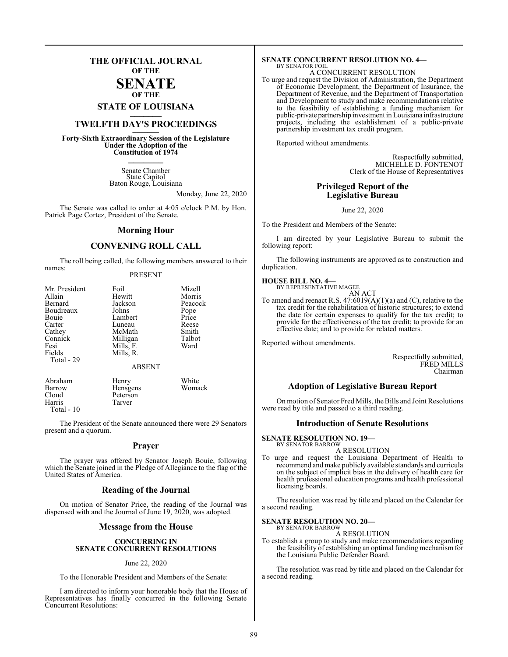### **THE OFFICIAL JOURNAL OF THE**

#### **SENATE OF THE**

**STATE OF LOUISIANA \_\_\_\_\_\_\_**

## **TWELFTH DAY'S PROCEEDINGS \_\_\_\_\_\_\_**

**Forty-Sixth Extraordinary Session of the Legislature Under the Adoption of the Constitution of 1974 \_\_\_\_\_\_\_**

> Senate Chamber State Capitol Baton Rouge, Louisiana

> > Monday, June 22, 2020

The Senate was called to order at 4:05 o'clock P.M. by Hon. Patrick Page Cortez, President of the Senate.

#### **Morning Hour**

#### **CONVENING ROLL CALL**

The roll being called, the following members answered to their names:

#### PRESENT

| Mr. President<br>Allain<br>Bernard<br>Boudreaux<br>Bouie<br>Carter<br>Cathey<br>Connick<br>Fesi<br>Fields<br>Total - 29 | Foil<br>Hewitt<br>Jackson<br>Johns<br>Lambert<br>Luneau<br>McMath<br>Milligan<br>Mills, F.<br>Mills, R. | Mizell<br>Morris<br>Peacock<br>Pope<br>Price<br>Reese<br>Smith<br>Talbot<br>Ward |
|-------------------------------------------------------------------------------------------------------------------------|---------------------------------------------------------------------------------------------------------|----------------------------------------------------------------------------------|
|                                                                                                                         | <b>ABSENT</b>                                                                                           |                                                                                  |
| Abraham                                                                                                                 | Henry                                                                                                   | White                                                                            |

| Barrow     | <b>Hensgens</b> | Womack |
|------------|-----------------|--------|
| Cloud      | Peterson        |        |
| Harris     | Tarver          |        |
| Total - 10 |                 |        |

The President of the Senate announced there were 29 Senators present and a quorum.

#### **Prayer**

The prayer was offered by Senator Joseph Bouie, following which the Senate joined in the Pledge of Allegiance to the flag of the United States of America.

#### **Reading of the Journal**

On motion of Senator Price, the reading of the Journal was dispensed with and the Journal of June 19, 2020, was adopted.

#### **Message from the House**

#### **CONCURRING IN SENATE CONCURRENT RESOLUTIONS**

#### June 22, 2020

To the Honorable President and Members of the Senate:

I am directed to inform your honorable body that the House of Representatives has finally concurred in the following Senate Concurrent Resolutions:

#### **SENATE CONCURRENT RESOLUTION NO. 4—** BY SENATOR FOIL

A CONCURRENT RESOLUTION

To urge and request the Division of Administration, the Department of Economic Development, the Department of Insurance, the Department of Revenue, and the Department of Transportation and Development to study and make recommendations relative to the feasibility of establishing a funding mechanism for public-private partnership investment in Louisiana infrastructure projects, including the establishment of a public-private partnership investment tax credit program.

Reported without amendments.

Respectfully submitted, MICHELLE D. FONTENOT Clerk of the House of Representatives

### **Privileged Report of the Legislative Bureau**

June 22, 2020

To the President and Members of the Senate:

I am directed by your Legislative Bureau to submit the following report:

The following instruments are approved as to construction and duplication.

### **HOUSE BILL NO. 4—** BY REPRESENTATIVE MAGEE

AN ACT To amend and reenact R.S. 47:6019(A)(1)(a) and (C), relative to the tax credit for the rehabilitation of historic structures; to extend the date for certain expenses to qualify for the tax credit; to provide for the effectiveness of the tax credit; to provide for an effective date; and to provide for related matters.

Reported without amendments.

Respectfully submitted, FRED MILLS Chairman

#### **Adoption of Legislative Bureau Report**

On motion of Senator Fred Mills, the Bills and Joint Resolutions were read by title and passed to a third reading.

#### **Introduction of Senate Resolutions**

**SENATE RESOLUTION NO. 19—**

BY SENATOR BARROW A RESOLUTION

To urge and request the Louisiana Department of Health to recommend and make publicly available standards and curricula on the subject of implicit bias in the delivery of health care for health professional education programs and health professional licensing boards.

The resolution was read by title and placed on the Calendar for a second reading.

**SENATE RESOLUTION NO. 20—** BY SENATOR BARROW

### A RESOLUTION

To establish a group to study and make recommendations regarding the feasibility of establishing an optimal funding mechanism for the Louisiana Public Defender Board.

The resolution was read by title and placed on the Calendar for a second reading.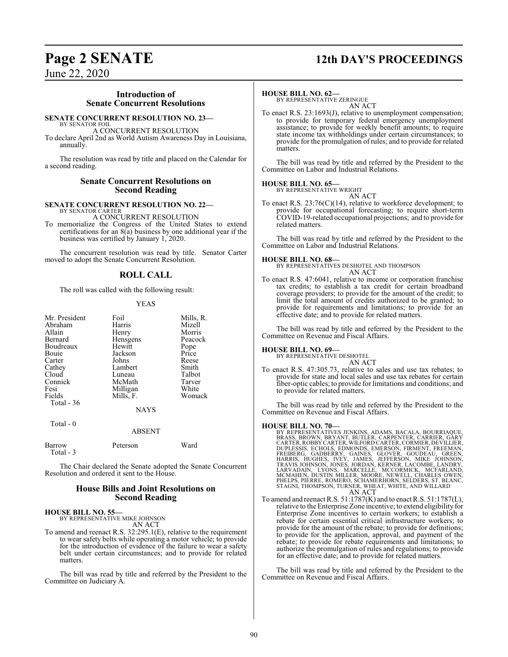## **Page 2 SENATE 12th DAY'S PROCEEDINGS**

June 22, 2020

#### **Introduction of Senate Concurrent Resolutions**

#### **SENATE CONCURRENT RESOLUTION NO. 23—**

BY SENATOR FOIL A CONCURRENT RESOLUTION To declare April 2nd as World Autism Awareness Day in Louisiana, annually.

The resolution was read by title and placed on the Calendar for a second reading.

#### **Senate Concurrent Resolutions on Second Reading**

#### **SENATE CONCURRENT RESOLUTION NO. 22—** BY SENATOR CARTER

A CONCURRENT RESOLUTION

To memorialize the Congress of the United States to extend certifications for an  $8(a)$  business by one additional year if the business was certified by January 1, 2020.

The concurrent resolution was read by title. Senator Carter moved to adopt the Senate Concurrent Resolution.

#### **ROLL CALL**

The roll was called with the following result:

#### YEAS

| Mr. President | Foil        | Mills, R. |
|---------------|-------------|-----------|
| Abraham       | Harris      | Mizell    |
| Allain        | Henry       | Morris    |
| Bernard       | Hensgens    | Peacock   |
| Boudreaux     | Hewitt      | Pope      |
| Bouie         | Jackson     | Price     |
| Carter        | Johns       | Reese     |
| Cathey        | Lambert     | Smith     |
| Cloud         | Luneau      | Talbot    |
| Connick       | McMath      | Tarver    |
| Fesi          | Milligan    | White     |
| Fields        | Mills, F.   | Womack    |
| Total $-36$   |             |           |
|               | <b>NAYS</b> |           |
| Total - 0     |             |           |

| Barrow    | Peterson | Ward |
|-----------|----------|------|
| Total - 3 |          |      |

The Chair declared the Senate adopted the Senate Concurrent Resolution and ordered it sent to the House.

ABSENT

#### **House Bills and Joint Resolutions on Second Reading**

#### **HOUSE BILL NO. 55—**

BY REPRESENTATIVE MIKE JOHNSON AN ACT

To amend and reenact R.S. 32:295.1(E), relative to the requirement to wear safety belts while operating a motor vehicle; to provide for the introduction of evidence of the failure to wear a safety belt under certain circumstances; and to provide for related matters.

The bill was read by title and referred by the President to the Committee on Judiciary A.

#### **HOUSE BILL NO. 62—**

BY REPRESENTATIVE ZERINGUE AN ACT

To enact R.S. 23:1693(J), relative to unemployment compensation; to provide for temporary federal emergency unemployment assistance; to provide for weekly benefit amounts; to require state income tax withholdings under certain circumstances; to provide for the promulgation of rules; and to provide for related matters.

The bill was read by title and referred by the President to the Committee on Labor and Industrial Relations.

#### **HOUSE BILL NO. 65—** BY REPRESENTATIVE WRIGHT



To enact R.S. 23:76(C)(14), relative to workforce development; to provide for occupational forecasting; to require short-term COVID-19-related occupational projections; and to provide for related matters.

The bill was read by title and referred by the President to the Committee on Labor and Industrial Relations.

#### **HOUSE BILL NO. 68—**

BY REPRESENTATIVES DESHOTEL AND THOMPSON AN ACT

To enact R.S. 47:6041, relative to income or corporation franchise tax credits; to establish a tax credit for certain broadband coverage providers; to provide for the amount of the credit; to limit the total amount of credits authorized to be granted; to provide for requirements and limitations; to provide for an effective date; and to provide for related matters.

The bill was read by title and referred by the President to the Committee on Revenue and Fiscal Affairs.

#### **HOUSE BILL NO. 69—**

BY REPRESENTATIVE DESHOTEL AN ACT

To enact R.S. 47:305.73, relative to sales and use tax rebates; to provide for state and local sales and use tax rebates for certain fiber-optic cables; to provide for limitations and conditions; and to provide for related matters.

The bill was read by title and referred by the President to the Committee on Revenue and Fiscal Affairs.

HOUSE BILL NO. 70—<br>BY REPRESENTATIVES JENKINS, ADAMS, BACALA, BOURRIAQUE,<br>BRASS, BROWN, BRYANT, BUTLER, CARPENTER, CARRIER, GARY<br>CARTER, ROBBY CARTER, WILFORD CARTER, CORMIER, DEVILLIER,<br>DUPLESSIS, ECHOLS, EDMONDS, EMERSON

To amend and reenact R.S. 51:1787(K) and to enact R.S. 51:1787(L), relative to the Enterprise Zone incentive; to extend eligibility for Enterprise Zone incentives to certain workers; to establish a rebate for certain essential critical infrastructure workers; to provide for the amount of the rebate; to provide for definitions; to provide for the application, approval, and payment of the rebate; to provide for rebate requirements and limitations; to authorize the promulgation of rules and regulations; to provide for an effective date; and to provide for related matters.

The bill was read by title and referred by the President to the Committee on Revenue and Fiscal Affairs.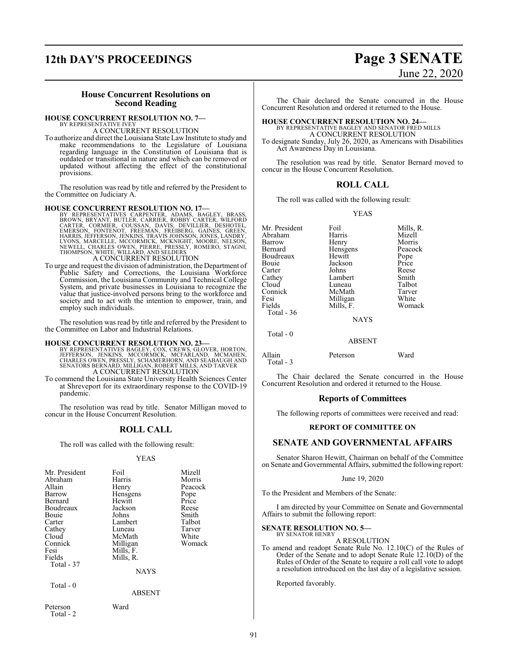## **12th DAY'S PROCEEDINGS Page 3 SENATE**

# June 22, 2020

#### **House Concurrent Resolutions on Second Reading**

#### **HOUSE CONCURRENT RESOLUTION NO. 7—**

BY REPRESENTATIVE IVEY A CONCURRENT RESOLUTION

To authorize and direct the Louisiana State Law Institute to study and make recommendations to the Legislature of Louisiana regarding language in the Constitution of Louisiana that is outdated or transitional in nature and which can be removed or updated without affecting the effect of the constitutional provisions.

The resolution was read by title and referred by the President to the Committee on Judiciary A.

HOUSE CONCURRENT RESOLUTION NO. 17—<br>BY REPRESENTATIVES CARPENTER, ADAMS, BAGLEY, BRASS, BROWN, BRYANT, BUTLER, CARRIER, ROBBY CARTER, WILFORD<br>CARTER, CORMIÈR, COUSSAN, DAVIS, DEVILLIER, DESHOTEL,<br>EMERSON, FONTENOT, FREEMAN A CONCURRENT RESOLUTION

To urge and request the division of administration, the Department of Public Safety and Corrections, the Louisiana Workforce Commission, the Louisiana Community and Technical College System, and private businesses in Louisiana to recognize the value that justice-involved persons bring to the workforce and society and to act with the intention to empower, train, and employ such individuals.

The resolution was read by title and referred by the President to the Committee on Labor and Industrial Relations.

#### **HOUSE CONCURRENT RESOLUTION NO. 23—**

BY REPRESENTATIVES BAGLEY, COX, CREWS, GLOVER, HORTON,<br>JEFFERSON, JENKINS, MCCORMICK, MCFARLAND, MCFARLAND<br>CHARLES OWEN, PRESSLY, SCHAMERHORN, AND SEABAUGH AND<br>SENATORS BERNARD, MILLIGAN, ROBERT MILLS, AND TARVER A CONCURRENT RESOLUTION

To commend the Louisiana State University Health Sciences Center at Shreveport for its extraordinary response to the COVID-19 pandemic.

The resolution was read by title. Senator Milligan moved to concur in the House Concurrent Resolution.

#### **ROLL CALL**

The roll was called with the following result:

#### YEAS

| Mr. President | Foil      | Mizell  |
|---------------|-----------|---------|
| Abraham       | Harris    | Morris  |
| Allain        | Henry     | Peacock |
| Barrow        | Hensgens  | Pope    |
| Bernard       | Hewitt    | Price   |
| Boudreaux     | Jackson   | Reese   |
| <b>Bouje</b>  | Johns     | Smith   |
| Carter        | Lambert   | Talbot  |
| Cathey        | Luneau    | Tarver  |
| Cloud         | McMath    | White   |
| Connick       | Milligan  | Womack  |
| Fesi          | Mills, F. |         |
| Fields        | Mills, R. |         |
| Total - 37    |           |         |
|               | NAYS      |         |

Total - 0

ABSENT

Peterson Ward Total - 2

The Chair declared the Senate concurred in the House Concurrent Resolution and ordered it returned to the House.

### **HOUSE CONCURRENT RESOLUTION NO. 24—** BY REPRESENTATIVE BAGLEY AND SENATOR FRED MILLS A CONCURRENT RESOLUTION

To designate Sunday, July 26, 2020, as Americans with Disabilities Act Awareness Day in Louisiana.

The resolution was read by title. Senator Bernard moved to concur in the House Concurrent Resolution.

#### **ROLL CALL**

The roll was called with the following result:

#### YEAS

| Mr. President<br>Abraham<br>Barrow<br>Bernard<br>Boudreaux<br>Bouie<br>Carter<br>Cathey<br>Cloud<br>Connick<br>Fesi<br>Fields<br>Total $-36$ | Foil<br>Harris<br>Henry<br>Hensgens<br>Hewitt<br>Jackson<br>Johns<br>Lambert<br>Luneau<br>McMath<br>Milligan<br>Mills, F.<br><b>NAYS</b> | Mills, R.<br>Mizell<br>Morris<br>Peacock<br>Pope<br>Price<br>Reese<br>Smith<br>Talbot<br>Tarver<br>White<br>Womack |
|----------------------------------------------------------------------------------------------------------------------------------------------|------------------------------------------------------------------------------------------------------------------------------------------|--------------------------------------------------------------------------------------------------------------------|
| Total - 0                                                                                                                                    | ABSENT                                                                                                                                   |                                                                                                                    |

Allain Peterson Ward Total - 3

The Chair declared the Senate concurred in the House Concurrent Resolution and ordered it returned to the House.

#### **Reports of Committees**

The following reports of committees were received and read:

#### **REPORT OF COMMITTEE ON**

#### **SENATE AND GOVERNMENTAL AFFAIRS**

Senator Sharon Hewitt, Chairman on behalf of the Committee on Senate and Governmental Affairs, submitted the following report:

#### June 19, 2020

To the President and Members of the Senate:

I am directed by your Committee on Senate and Governmental Affairs to submit the following report:

#### **SENATE RESOLUTION NO. 5—** BY SENATOR HENRY

A RESOLUTION

To amend and readopt Senate Rule No. 12.10(C) of the Rules of Order of the Senate and to adopt Senate Rule 12.10(D) of the Rules of Order of the Senate to require a roll call vote to adopt a resolution introduced on the last day of a legislative session.

Reported favorably.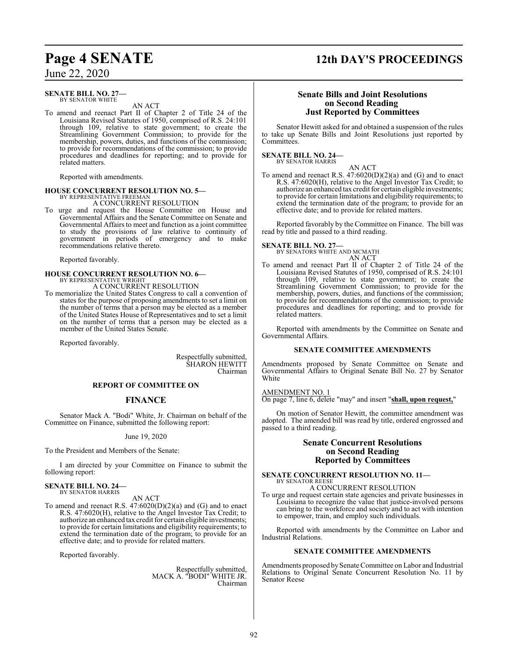## **Page 4 SENATE 12th DAY'S PROCEEDINGS**

June 22, 2020

#### **SENATE BILL NO. 27—** BY SENATOR WHITE

AN ACT

To amend and reenact Part II of Chapter 2 of Title 24 of the Louisiana Revised Statutes of 1950, comprised of R.S. 24:101 through 109, relative to state government; to create the Streamlining Government Commission; to provide for the membership, powers, duties, and functions of the commission; to provide for recommendations of the commission; to provide procedures and deadlines for reporting; and to provide for related matters.

Reported with amendments.

## **HOUSE CONCURRENT RESOLUTION NO. 5—** BY REPRESENTATIVE FREEMAN

A CONCURRENT RESOLUTION

To urge and request the House Committee on House and Governmental Affairs and the Senate Committee on Senate and Governmental Affairs to meet and function as a joint committee to study the provisions of law relative to continuity of government in periods of emergency and to make recommendations relative thereto.

Reported favorably.

#### **HOUSE CONCURRENT RESOLUTION NO. 6—** BY REPRESENTATIVE WRIGHT

A CONCURRENT RESOLUTION

To memorialize the United States Congress to call a convention of states for the purpose of proposing amendments to set a limit on the number of terms that a person may be elected as a member of the United States House of Representatives and to set a limit on the number of terms that a person may be elected as a member of the United States Senate.

Reported favorably.

Respectfully submitted, SHARON HEWITT Chairman

#### **REPORT OF COMMITTEE ON**

#### **FINANCE**

Senator Mack A. "Bodi" White, Jr. Chairman on behalf of the Committee on Finance, submitted the following report:

#### June 19, 2020

To the President and Members of the Senate:

I am directed by your Committee on Finance to submit the following report:

#### **SENATE BILL NO. 24—** BY SENATOR HARRIS

#### AN ACT

To amend and reenact R.S. 47:6020(D)(2)(a) and (G) and to enact R.S. 47:6020(H), relative to the Angel Investor Tax Credit; to authorize an enhanced tax credit for certain eligible investments; to provide for certain limitations and eligibility requirements; to extend the termination date of the program; to provide for an effective date; and to provide for related matters.

Reported favorably.

Respectfully submitted, MACK A. "BODI" WHITE JR. Chairman

#### **Senate Bills and Joint Resolutions on Second Reading Just Reported by Committees**

Senator Hewitt asked for and obtained a suspension of the rules to take up Senate Bills and Joint Resolutions just reported by Committees.

#### **SENATE BILL NO. 24—** BY SENATOR HARRIS

AN ACT To amend and reenact R.S.  $47:6020(D)(2)(a)$  and (G) and to enact R.S. 47:6020(H), relative to the Angel Investor Tax Credit; to authorize an enhanced tax credit for certain eligible investments; to provide for certain limitations and eligibility requirements; to extend the termination date of the program; to provide for an effective date; and to provide for related matters.

Reported favorably by the Committee on Finance. The bill was read by title and passed to a third reading.

### **SENATE BILL NO. 27—** BY SENATORS WHITE AND MCMATH

AN ACT

To amend and reenact Part II of Chapter 2 of Title 24 of the Louisiana Revised Statutes of 1950, comprised of R.S. 24:101 through 109, relative to state government; to create the Streamlining Government Commission; to provide for the membership, powers, duties, and functions of the commission; to provide for recommendations of the commission; to provide procedures and deadlines for reporting; and to provide for related matters.

Reported with amendments by the Committee on Senate and Governmental Affairs.

#### **SENATE COMMITTEE AMENDMENTS**

Amendments proposed by Senate Committee on Senate and Governmental Affairs to Original Senate Bill No. 27 by Senator White

#### AMENDMENT NO. 1

On page 7, line 6, delete "may" and insert "**shall, upon request,**"

On motion of Senator Hewitt, the committee amendment was adopted. The amended bill was read by title, ordered engrossed and passed to a third reading.

#### **Senate Concurrent Resolutions on Second Reading Reported by Committees**

#### **SENATE CONCURRENT RESOLUTION NO. 11—** BY SENATOR REESE

A CONCURRENT RESOLUTION

To urge and request certain state agencies and private businesses in Louisiana to recognize the value that justice-involved persons can bring to the workforce and society and to act with intention to empower, train, and employ such individuals.

Reported with amendments by the Committee on Labor and Industrial Relations.

#### **SENATE COMMITTEE AMENDMENTS**

Amendments proposed by Senate Committee on Labor and Industrial Relations to Original Senate Concurrent Resolution No. 11 by Senator Reese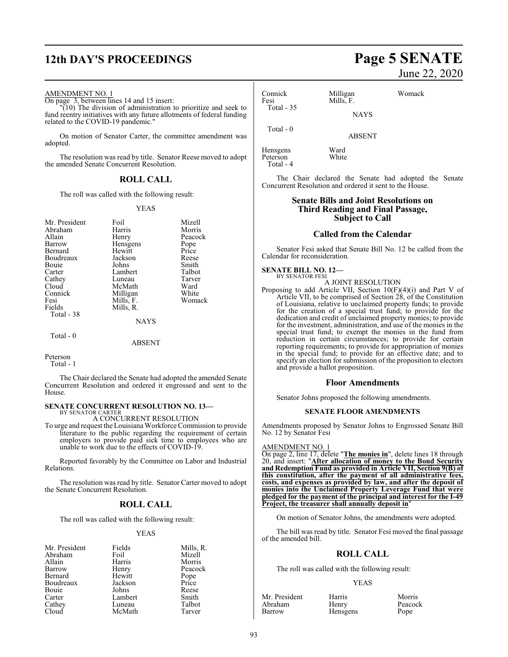## **12th DAY'S PROCEEDINGS Page 5 SENATE**

#### AMENDMENT NO. 1

On page 3, between lines 14 and 15 insert:

 $(10)$  The division of administration to prioritize and seek to fund reentry initiatives with any future allotments of federal funding related to the COVID-19 pandemic."

On motion of Senator Carter, the committee amendment was adopted.

The resolution was read by title. Senator Reese moved to adopt the amended Senate Concurrent Resolution.

#### **ROLL CALL**

The roll was called with the following result:

#### YEAS

| Mr. President | Foil        | Mizell  |
|---------------|-------------|---------|
|               |             |         |
| Abraham       | Harris      | Morris  |
| Allain        | Henry       | Peacock |
| Barrow        | Hensgens    | Pope    |
| Bernard       | Hewitt      | Price   |
| Boudreaux     | Jackson     | Reese   |
| <b>Bouje</b>  | Johns       | Smith   |
| Carter        | Lambert     | Talbot  |
| Cathey        | Luneau      | Tarver  |
| Cloud         | McMath      | Ward    |
| Connick       | Milligan    | White   |
| Fesi          | Mills, F.   | Womack  |
| Fields        | Mills, R.   |         |
| Total - 38    |             |         |
|               | <b>NAYS</b> |         |
| $Total - 0$   |             |         |

#### ABSENT

Peterson Total - 1

The Chair declared the Senate had adopted the amended Senate Concurrent Resolution and ordered it engrossed and sent to the House.

#### **SENATE CONCURRENT RESOLUTION NO. 13—** BY SENATOR CARTER

A CONCURRENT RESOLUTION

To urge and request the Louisiana Workforce Commission to provide literature to the public regarding the requirement of certain employers to provide paid sick time to employees who are unable to work due to the effects of COVID-19.

Reported favorably by the Committee on Labor and Industrial Relations.

The resolution was read by title. Senator Carter moved to adopt the Senate Concurrent Resolution.

#### **ROLL CALL**

The roll was called with the following result:

#### YEAS

| Mr. President | Fields  | Mills, R.     |
|---------------|---------|---------------|
| Abraham       | Foil    | Mizell        |
| Allain        | Harris  | Morris        |
| Barrow        | Henry   | Peacock       |
| Bernard       | Hewitt  | Pope<br>Price |
| Boudreaux     | Jackson |               |
| Bouie         | Johns   | Reese         |
| Carter        | Lambert | Smith         |
| Cathey        | Luneau  | Talbot        |
|               | McMath  | Tarver        |

# June 22, 2020

| Connick<br>Fesi | Milligan<br>Mills, F. | Womack |
|-----------------|-----------------------|--------|
| Total $-35$     | <b>NAYS</b>           |        |
| Total - 0       | <b>ABSENT</b>         |        |

Hensgens Ward<br>Peterson White Peterson Total - 4

The Chair declared the Senate had adopted the Senate Concurrent Resolution and ordered it sent to the House.

#### **Senate Bills and Joint Resolutions on Third Reading and Final Passage, Subject to Call**

#### **Called from the Calendar**

Senator Fesi asked that Senate Bill No. 12 be called from the Calendar for reconsideration.

#### **SENATE BILL NO. 12—** BY SENATOR FESI

A JOINT RESOLUTION

Proposing to add Article VII, Section 10(F)(4)(i) and Part V of Article VII, to be comprised of Section 28, of the Constitution of Louisiana, relative to unclaimed property funds; to provide for the creation of a special trust fund; to provide for the dedication and credit of unclaimed property monies; to provide for the investment, administration, and use of the monies in the special trust fund; to exempt the monies in the fund from reduction in certain circumstances; to provide for certain reporting requirements; to provide for appropriation of monies in the special fund; to provide for an effective date; and to specify an election for submission of the proposition to electors and provide a ballot proposition.

#### **Floor Amendments**

Senator Johns proposed the following amendments.

#### **SENATE FLOOR AMENDMENTS**

Amendments proposed by Senator Johns to Engrossed Senate Bill No. 12 by Senator Fesi

#### AMENDMENT NO. 1

On page 2, line 17, delete "**The monies in**", delete lines 18 through 20, and insert: "**After allocation of money to the Bond Security and Redemption Fund as provided in Article VII, Section 9(B) of this constitution, after the payment of all administrative fees, costs, and expenses as provided by law, and after the deposit of monies into the Unclaimed Property Leverage Fund that were pledged for the payment of the principal and interest for the I-49 Project, the treasurer shall annually deposit in**"

On motion of Senator Johns, the amendments were adopted.

The bill was read by title. Senator Fesi moved the final passage of the amended bill.

#### **ROLL CALL**

The roll was called with the following result:

#### YEAS

| Mr. President | Harris   | Morris  |
|---------------|----------|---------|
| Abraham       | Henry    | Peacock |
| Barrow        | Hensgens | Pope    |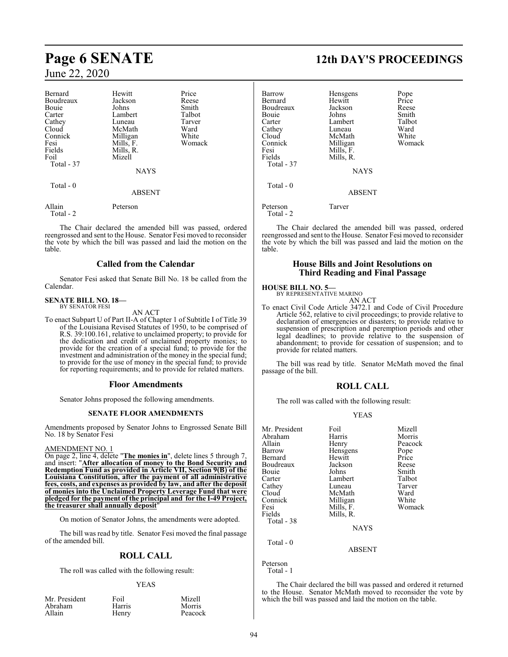### June 22, 2020

| Bernard             | Hewitt        | Price  |
|---------------------|---------------|--------|
| Boudreaux           | Jackson       | Reese  |
| Bouie               | Johns         | Smith  |
| Carter              | Lambert       | Talbot |
| Cathey              | Luneau        | Tarver |
| Cloud               | McMath        | Ward   |
| Connick             | Milligan      | White  |
| Fesi                | Mills, F.     | Womack |
| Fields              | Mills, R.     |        |
| Foil                | Mizell        |        |
| Total - 37          |               |        |
|                     | <b>NAYS</b>   |        |
| Total $-0$          |               |        |
|                     | <b>ABSENT</b> |        |
| Allain<br>Total - 2 | Peterson      |        |

The Chair declared the amended bill was passed, ordered reengrossed and sent to the House. Senator Fesi moved to reconsider the vote by which the bill was passed and laid the motion on the table.

#### **Called from the Calendar**

Senator Fesi asked that Senate Bill No. 18 be called from the Calendar.

## **SENATE BILL NO. 18—** BY SENATOR FESI

AN ACT

To enact Subpart U of Part II-A of Chapter 1 of Subtitle I of Title 39 of the Louisiana Revised Statutes of 1950, to be comprised of R.S. 39:100.161, relative to unclaimed property; to provide for the dedication and credit of unclaimed property monies; to provide for the creation of a special fund; to provide for the investment and administration of the money in the special fund; to provide for the use of money in the special fund; to provide for reporting requirements; and to provide for related matters.

#### **Floor Amendments**

Senator Johns proposed the following amendments.

#### **SENATE FLOOR AMENDMENTS**

Amendments proposed by Senator Johns to Engrossed Senate Bill No. 18 by Senator Fesi

#### AMENDMENT NO. 1

On page 2, line 4, delete "**The monies in**", delete lines 5 through 7, and insert: "**After allocation of money to the Bond Security and Redemption Fund as provided in Article VII, Section 9(B) of the Louisiana Constitution, after the payment of all administrative fees, costs, and expenses as provided by law, and after the deposit of monies into the Unclaimed Property Leverage Fund that were pledged for the payment of the principal and for the I-49 Project, the treasurer shall annually deposit** 

On motion of Senator Johns, the amendments were adopted.

The bill was read by title. Senator Fesi moved the final passage of the amended bill.

#### **ROLL CALL**

The roll was called with the following result:

#### YEAS

Peacock

| Mr. President | Foil   | Mizell |
|---------------|--------|--------|
| Abraham       | Harris | Morris |
| Allain        | Henrv  | Peaco  |

Harris Morris<br>
Henry Peacoc

### **Page 6 SENATE 12th DAY'S PROCEEDINGS**

| Barrow<br>Bernard<br>Boudreaux<br>Bouie<br>Carter<br>Cathey<br>Cloud<br>Connick<br>Fesi<br>Fields<br><b>Total - 37</b><br>Total $-0$ | Hensgens<br>Hewitt<br>Jackson<br>Johns<br>Lambert<br>Luneau<br>McMath<br>Milligan<br>Mills, F.<br>Mills, R.<br><b>NAYS</b> | Pope<br>Price<br>Reese<br>Smith<br>Talbot<br>Ward<br>White<br>Womack |
|--------------------------------------------------------------------------------------------------------------------------------------|----------------------------------------------------------------------------------------------------------------------------|----------------------------------------------------------------------|
|                                                                                                                                      | <b>ABSENT</b>                                                                                                              |                                                                      |
| Peterson<br>Total - 2                                                                                                                | Tarver                                                                                                                     |                                                                      |

The Chair declared the amended bill was passed, ordered reengrossed and sent to the House. Senator Fesi moved to reconsider the vote by which the bill was passed and laid the motion on the table.

#### **House Bills and Joint Resolutions on Third Reading and Final Passage**

### **HOUSE BILL NO. 5—** BY REPRESENTATIVE MARINO

AN ACT

To enact Civil Code Article 3472.1 and Code of Civil Procedure Article 562, relative to civil proceedings; to provide relative to declaration of emergencies or disasters; to provide relative to suspension of prescription and peremption periods and other legal deadlines; to provide relative to the suspension of abandonment; to provide for cessation of suspension; and to provide for related matters.

The bill was read by title. Senator McMath moved the final passage of the bill.

#### **ROLL CALL**

The roll was called with the following result:

#### YEAS

| Foil          | Mizell                          |
|---------------|---------------------------------|
| Harris        | Morris                          |
|               | Peacock                         |
| Hensgens      | Pope                            |
| Hewitt        | Price                           |
| Jackson       | Reese                           |
| Johns         | Smith                           |
| Lambert       | Talbot                          |
| Luneau        | Tarver                          |
| McMath        | Ward                            |
| Milligan      | White                           |
|               | Womack                          |
|               |                                 |
|               |                                 |
| <b>NAYS</b>   |                                 |
|               |                                 |
| <b>ABSENT</b> |                                 |
|               | Henry<br>Mills, F.<br>Mills, R. |

Peterson Total - 1

The Chair declared the bill was passed and ordered it returned to the House. Senator McMath moved to reconsider the vote by which the bill was passed and laid the motion on the table.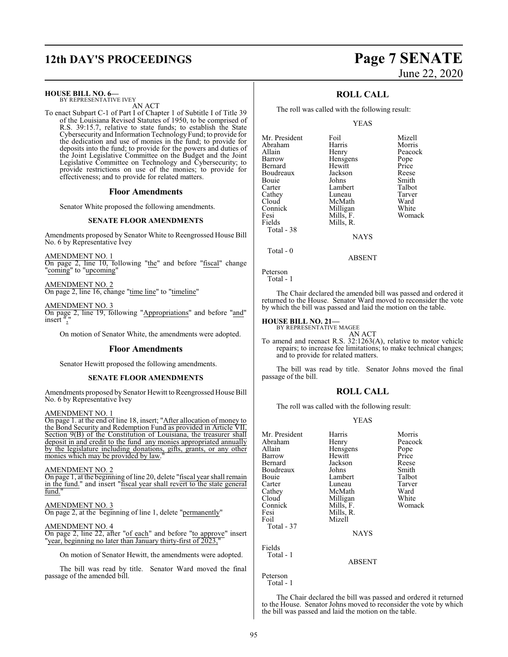## **12th DAY'S PROCEEDINGS Page 7 SENATE**

#### **HOUSE BILL NO. 6—**

BY REPRESENTATIVE IVEY AN ACT

To enact Subpart C-1 of Part I of Chapter 1 of Subtitle I of Title 39 of the Louisiana Revised Statutes of 1950, to be comprised of R.S. 39:15.7, relative to state funds; to establish the State Cybersecurity and Information TechnologyFund; to provide for the dedication and use of monies in the fund; to provide for deposits into the fund; to provide for the powers and duties of the Joint Legislative Committee on the Budget and the Joint Legislative Committee on Technology and Cybersecurity; to provide restrictions on use of the monies; to provide for effectiveness; and to provide for related matters.

#### **Floor Amendments**

Senator White proposed the following amendments.

#### **SENATE FLOOR AMENDMENTS**

Amendments proposed by Senator White to Reengrossed House Bill No. 6 by Representative Ivey

AMENDMENT NO. 1 On page 2, line 10, following "the" and before "fiscal" change "coming" to "upcoming"

AMENDMENT NO. 2 On page 2, line 16, change "time line" to "timeline"

AMENDMENT NO. 3 On page 2, line 19, following "Appropriations" and before "and" insert "

On motion of Senator White, the amendments were adopted.

#### **Floor Amendments**

Senator Hewitt proposed the following amendments.

#### **SENATE FLOOR AMENDMENTS**

Amendments proposed by Senator Hewitt to Reengrossed House Bill No. 6 by Representative Ivey

#### AMENDMENT NO. 1

On page 1. at the end of line 18, insert; "After allocation of money to the Bond Security and Redemption Fund as provided in Article VII, Section 9(B) of the Constitution of Louisiana, the treasurer shall deposit in and credit to the fund any monies appropriated annually by the legislature including donations, gifts, grants, or any other monies which may be provided by law.

AMENDMENT NO. 2<br>On page 1, at the beginning of line 20, delete "fiscal year shall remain On page 1, at the beginning of line 20, delete "fiscal year shall remain in the fund." and insert "fiscal year shall revert to the state general fund."

#### AMENDMENT NO. 3

On page 2, at the beginning of line 1, delete "permanently"

#### AMENDMENT NO. 4

On page 2, line 22, after "of each" and before "to approve" insert "year, beginning no later than January thirty-first of 2023,"

On motion of Senator Hewitt, the amendments were adopted.

The bill was read by title. Senator Ward moved the final passage of the amended bill.

### **ROLL CALL**

The roll was called with the following result:

YEAS

| Mr. President | Foil      | Mizell  |
|---------------|-----------|---------|
| Abraham       | Harris    | Morris  |
| Allain        | Henry     | Peacock |
| Barrow        | Hensgens  | Pope    |
| Bernard       | Hewitt    | Price   |
| Boudreaux     | Jackson   | Reese   |
| Bouie         | Johns     | Smith   |
| Carter        | Lambert   | Talbot  |
| Cathey        | Luneau    | Tarver  |
| Cloud         | McMath    | Ward    |
| Connick       | Milligan  | White   |
| Fesi          | Mills, F. | Womack  |
| Fields        | Mills, R. |         |
| Total - 38    |           |         |
|               | NAVS      |         |

**NAYS** 

ABSENT

Total - 0

Peterson

```
 Total - 1
```
The Chair declared the amended bill was passed and ordered it returned to the House. Senator Ward moved to reconsider the vote by which the bill was passed and laid the motion on the table.

#### **HOUSE BILL NO. 21—**

BY REPRESENTATIVE MAGEE AN ACT

To amend and reenact R.S. 32:1263(A), relative to motor vehicle repairs; to increase fee limitations; to make technical changes; and to provide for related matters.

The bill was read by title. Senator Johns moved the final passage of the bill.

#### **ROLL CALL**

The roll was called with the following result:

#### YEAS

| Mr. President | Harris      | Morris  |
|---------------|-------------|---------|
| Abraham       | Henry       | Peacock |
| Allain        | Hensgens    | Pope    |
| Barrow        | Hewitt      | Price   |
| Bernard       | Jackson     | Reese   |
| Boudreaux     | Johns       | Smith   |
| Bouie         | Lambert     | Talbot  |
| Carter        | Luneau      | Tarver  |
| Cathey        | McMath      | Ward    |
| Cloud         | Milligan    | White   |
| Connick       | Mills, F.   | Womack  |
| Fesi          | Mills, R.   |         |
| Foil          | Mizell      |         |
| Total - 37    |             |         |
|               | <b>NAYS</b> |         |
| Fields        |             |         |
| Total - 1     |             |         |
|               | ABSENT      |         |
|               |             |         |
| Peterson      |             |         |
| Total - 1     |             |         |

The Chair declared the bill was passed and ordered it returned to the House. Senator Johns moved to reconsider the vote by which the bill was passed and laid the motion on the table.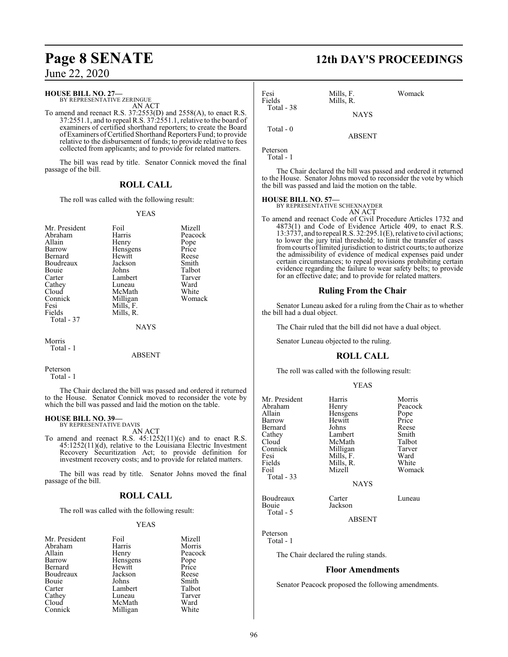June 22, 2020

#### **HOUSE BILL NO. 27—**

BY REPRESENTATIVE ZERINGUE AN ACT

To amend and reenact R.S. 37:2553(D) and 2558(A), to enact R.S. 37:2551.1, and to repeal R.S. 37:2551.1, relative to the board of examiners of certified shorthand reporters; to create the Board of Examiners ofCertified Shorthand Reporters Fund; to provide relative to the disbursement of funds; to provide relative to fees collected from applicants; and to provide for related matters.

The bill was read by title. Senator Connick moved the final passage of the bill.

#### **ROLL CALL**

The roll was called with the following result:

#### YEAS

| Mr. President<br>Abraham<br>Allain<br>Barrow<br>Bernard<br>Boudreaux<br>Bouie<br>Carter<br>Cathey<br>Cloud<br>Connick<br>Fesi<br>Fields<br>Total - 37 | Foil<br>Harris<br>Henry<br>Hensgens<br>Hewitt<br>Jackson<br>Johns<br>Lambert<br>Luneau<br>McMath<br>Milligan<br>Mills, F.<br>Mills, R. | Mizell<br>Peacock<br>Pope<br>Price<br>Reese<br>Smith<br>Talbot<br>Tarver<br>Ward<br>White<br>Womack |
|-------------------------------------------------------------------------------------------------------------------------------------------------------|----------------------------------------------------------------------------------------------------------------------------------------|-----------------------------------------------------------------------------------------------------|
|                                                                                                                                                       | <b>NAYS</b>                                                                                                                            |                                                                                                     |
| Morris                                                                                                                                                |                                                                                                                                        |                                                                                                     |

Total - 1

ABSENT

```
Peterson
   Total - 1
```
The Chair declared the bill was passed and ordered it returned to the House. Senator Connick moved to reconsider the vote by which the bill was passed and laid the motion on the table.

#### **HOUSE BILL NO. 39—**

BY REPRESENTATIVE DAVIS AN ACT

To amend and reenact R.S. 45:1252(11)(c) and to enact R.S. 45:1252(11)(d), relative to the Louisiana Electric Investment Recovery Securitization Act; to provide definition for investment recovery costs; and to provide for related matters.

The bill was read by title. Senator Johns moved the final passage of the bill.

### **ROLL CALL**

The roll was called with the following result:

#### YEAS

| Mr. President | Foil     | Mizell        |
|---------------|----------|---------------|
| Abraham       | Harris   | Morris        |
| Allain        | Henry    | Peacock       |
| Barrow        | Hensgens | Pope<br>Price |
| Bernard       | Hewitt   |               |
| Boudreaux     | Jackson  | Reese         |
| Bouie         | Johns    | Smith         |
| Carter        | Lambert  | Talbot        |
| Cathey        | Luneau   | Tarver        |
| Cloud         | McMath   | Ward          |
| Connick       | Milligan | White         |

## **Page 8 SENATE 12th DAY'S PROCEEDINGS**

| Fesi<br>Fields<br>Total - 38 | Mills, F.<br>Mills, R. | Womack |
|------------------------------|------------------------|--------|
|                              | <b>NAYS</b>            |        |
| Total - 0                    | <b>ABSENT</b>          |        |
| Peterson                     |                        |        |

Total - 1

The Chair declared the bill was passed and ordered it returned to the House. Senator Johns moved to reconsider the vote by which the bill was passed and laid the motion on the table.

#### **HOUSE BILL NO. 57—**

BY REPRESENTATIVE SCHEXNAYDER AN ACT

To amend and reenact Code of Civil Procedure Articles 1732 and 4873(1) and Code of Evidence Article 409, to enact R.S. 13:3737, and to repeal R.S. 32:295.1(E), relative to civil actions; to lower the jury trial threshold; to limit the transfer of cases fromcourts of limited jurisdiction to district courts; to authorize the admissibility of evidence of medical expenses paid under certain circumstances; to repeal provisions prohibiting certain evidence regarding the failure to wear safety belts; to provide for an effective date; and to provide for related matters.

#### **Ruling From the Chair**

Senator Luneau asked for a ruling from the Chair as to whether the bill had a dual object.

The Chair ruled that the bill did not have a dual object.

Senator Luneau objected to the ruling.

### **ROLL CALL**

The roll was called with the following result:

#### YEAS

| Mr. President<br>Abraham<br>Allain<br>Barrow<br>Bernard<br>Cathey<br>Cloud<br>Connick<br>Fesi<br>Fields<br>Foil | Harris<br>Henry<br>Hensgens<br>Hewitt<br>Johns<br>Lambert<br>McMath<br>Milligan<br>Mills, F.<br>Mills, R.<br>Mizell | Morris<br>Peacock<br>Pope<br>Price<br>Reese<br>Smith<br>Talbot<br>Tarver<br>Ward<br>White<br>Womack |
|-----------------------------------------------------------------------------------------------------------------|---------------------------------------------------------------------------------------------------------------------|-----------------------------------------------------------------------------------------------------|
| Total - 33                                                                                                      | <b>NAYS</b>                                                                                                         |                                                                                                     |
| Boudreaux                                                                                                       | `arter                                                                                                              | Luneau                                                                                              |

Bouie Jackson

Peterson Total - 1

Total - 5

The Chair declared the ruling stands.

#### **Floor Amendments**

ABSENT

Senator Peacock proposed the following amendments.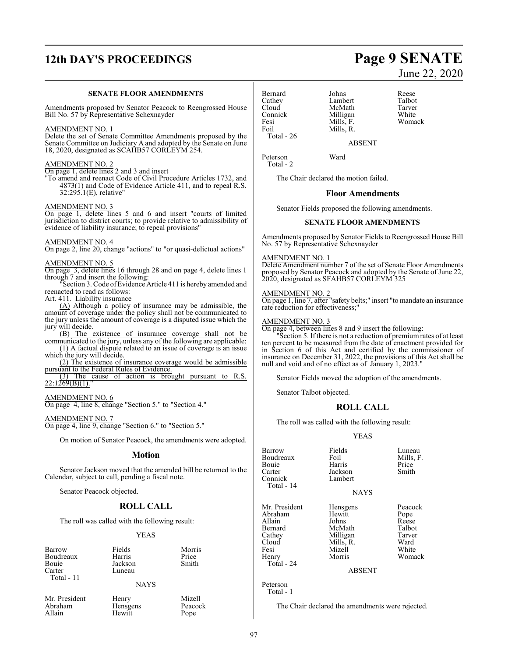## **12th DAY'S PROCEEDINGS Page 9 SENATE**

#### **SENATE FLOOR AMENDMENTS**

Amendments proposed by Senator Peacock to Reengrossed House Bill No. 57 by Representative Schexnayder

#### AMENDMENT NO. 1

Delete the set of Senate Committee Amendments proposed by the Senate Committee on Judiciary A and adopted by the Senate on June 18, 2020, designated as SCAHB57 CORLEYM 254.

#### AMENDMENT NO. 2

On page 1, delete lines 2 and 3 and insert

"To amend and reenact Code of Civil Procedure Articles 1732, and 4873(1) and Code of Evidence Article 411, and to repeal R.S. 32:295.1(E), relative"

### AMENDMENT NO. 3

On page 1, delete lines 5 and 6 and insert "courts of limited jurisdiction to district courts; to provide relative to admissibility of evidence of liability insurance; to repeal provisions"

#### AMENDMENT NO. 4

On page 2, line 20, change "actions" to "or quasi-delictual actions"

#### AMENDMENT NO. 5

On page 3, delete lines 16 through 28 and on page 4, delete lines 1 through 7 and insert the following:

Section 3. Code of Evidence Article 411 is hereby amended and reenacted to read as follows:

Art. 411. Liability insurance

(A) Although a policy of insurance may be admissible, the amount of coverage under the policy shall not be communicated to the jury unless the amount of coverage is a disputed issue which the jury will decide.

(B) The existence of insurance coverage shall not be

communicated to the jury, unless any of the following are applicable: (1) A factual dispute related to an issue of coverage is an issue which the jury will decide

(2) The existence of insurance coverage would be admissible pursuant to the Federal Rules of Evidence.

(3) The cause of action is brought pursuant to R.S. 22:1269(B)(1)."

#### AMENDMENT NO. 6

On page 4, line 8, change "Section 5." to "Section 4."

#### AMENDMENT NO. 7

On page 4, line 9, change "Section 6." to "Section 5."

On motion of Senator Peacock, the amendments were adopted.

#### **Motion**

Senator Jackson moved that the amended bill be returned to the Calendar, subject to call, pending a fiscal note.

Senator Peacock objected.

#### **ROLL CALL**

The roll was called with the following result:

#### YEAS

Barrow Fields Morris Boudreaux Harris Price<br>
Bouje Jackson Smith Bouie Jackson<br>Carter Luneau Total - 11

Luneau

#### NAYS

Mr. President Henry Mizell<br>Abraham Hensgens Peacock Abraham Hensgens Peacock<br>Allain Hewitt Pope

Hewitt

Bernard Johns Reese<br>Cathey Lambert Talbot Cathey Lambert Talbot Cloud McMath Tarver<br>Connick Milligan White Connick Milligan White<br>
Fesi Mills, F. Womack Fesi Mills, F.<br>Foil Mills, R. Total - 26

Mills, R.

Peterson Ward

Total - 2

The Chair declared the motion failed.

#### **Floor Amendments**

ABSENT

Senator Fields proposed the following amendments.

#### **SENATE FLOOR AMENDMENTS**

Amendments proposed by Senator Fields to Reengrossed House Bill No. 57 by Representative Schexnayder

#### AMENDMENT NO. 1

Delete Amendment number 7 of the set of Senate Floor Amendments proposed by Senator Peacock and adopted by the Senate of June 22, 2020, designated as SFAHB57 CORLEYM 325

#### AMENDMENT NO. 2

On page 1, line 7, after "safety belts;" insert "to mandate an insurance rate reduction for effectiveness;"

#### AMENDMENT NO. 3

On page 4, between lines 8 and 9 insert the following:

"Section 5. If there is not a reduction of premiumrates of at least ten percent to be measured from the date of enactment provided for in Section 6 of this Act and certified by the commissioner of insurance on December 31, 2022, the provisions of this Act shall be null and void and of no effect as of January 1, 2023."

Senator Fields moved the adoption of the amendments.

Senator Talbot objected.

#### **ROLL CALL**

The roll was called with the following result:

Harris

#### YEAS

Barrow Fields Luneau<br>Boudreaux Foil Mills, F. Boudreaux Foil Mills,<br>Bouie Harris Price Carter Jackson Smith<br>Connick Lambert Connick Total - 14

**NAYS** 

Womack

ABSENT

Peterson Total - 1

Total - 24

The Chair declared the amendments were rejected.

Mr. President Hensgens Peacock<br>Abraham Hewitt Pope Abraham Hewitt Pope<br>Allain Johns Reese Allain Johns Reese Bernard McMath Talbot<br>Cathey Milligan Tarver Cathey Milligan Tarver<br>Cloud Mills, R. Ward Cloud Mills, R. Ward<br>Fesi Mizell White Fesi Mizell<br>
Henry Morris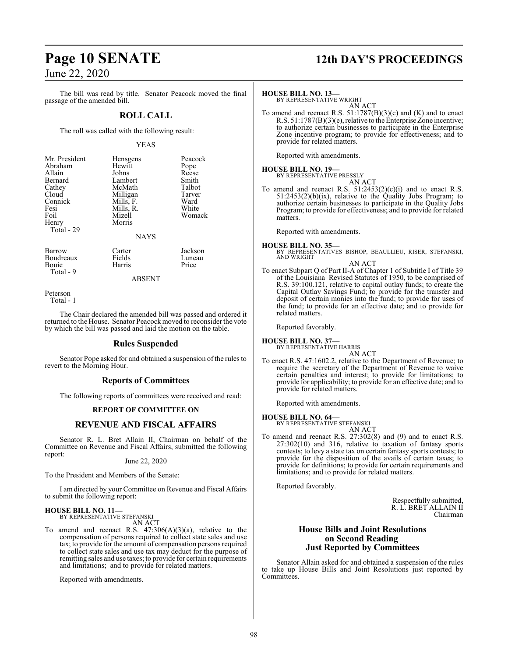### June 22, 2020

The bill was read by title. Senator Peacock moved the final passage of the amended bill.

### **ROLL CALL**

The roll was called with the following result:

#### YEAS

Harris

Barrow Carter Jackson<br>Boudreaux Fields Luneau Boudreaux Fields Luneau<br>Bouie Harris Price Total - 9

ABSENT

Peterson

Total - 1

The Chair declared the amended bill was passed and ordered it returned to the House. Senator Peacock moved to reconsider the vote by which the bill was passed and laid the motion on the table.

#### **Rules Suspended**

Senator Pope asked for and obtained a suspension of the rules to revert to the Morning Hour.

#### **Reports of Committees**

The following reports of committees were received and read:

#### **REPORT OF COMMITTEE ON**

#### **REVENUE AND FISCAL AFFAIRS**

Senator R. L. Bret Allain II, Chairman on behalf of the Committee on Revenue and Fiscal Affairs, submitted the following report:

June 22, 2020

To the President and Members of the Senate:

I am directed by your Committee on Revenue and Fiscal Affairs to submit the following report:

#### **HOUSE BILL NO. 11—**

BY REPRESENTATIVE STEFANSKI AN ACT

To amend and reenact R.S.  $47:306(A)(3)(a)$ , relative to the compensation of persons required to collect state sales and use tax; to provide for the amount of compensation persons required to collect state sales and use tax may deduct for the purpose of remitting sales and use taxes; to provide for certain requirements and limitations; and to provide for related matters.

Reported with amendments.

## **Page 10 SENATE 12th DAY'S PROCEEDINGS**

**HOUSE BILL NO. 13—** BY REPRESENTATIVE WRIGHT

AN ACT

To amend and reenact R.S. 51:1787(B)(3)(c) and (K) and to enact R.S. 51:1787(B)(3)(e), relative to the Enterprise Zone incentive; to authorize certain businesses to participate in the Enterprise Zone incentive program; to provide for effectiveness; and to provide for related matters.

Reported with amendments.

### **HOUSE BILL NO. 19—**

BY REPRESENTATIVE PRESSLY

AN ACT To amend and reenact R.S.  $51:2453(2)(c)(i)$  and to enact R.S. 51:2453(2)(b)(ix), relative to the Quality Jobs Program; to authorize certain businesses to participate in the Quality Jobs Program; to provide for effectiveness; and to provide for related matters.

Reported with amendments.

- **HOUSE BILL NO. 35—** BY REPRESENTATIVES BISHOP, BEAULLIEU, RISER, STEFANSKI, AND WRIGHT
- AN ACT To enact Subpart Q of Part II-A of Chapter 1 of Subtitle I of Title 39 of the Louisiana Revised Statutes of 1950, to be comprised of R.S. 39:100.121, relative to capital outlay funds; to create the Capital Outlay Savings Fund; to provide for the transfer and deposit of certain monies into the fund; to provide for uses of the fund; to provide for an effective date; and to provide for related matters.

Reported favorably.

**HOUSE BILL NO. 37—** BY REPRESENTATIVE HARRIS AN ACT

- 
- To enact R.S. 47:1602.2, relative to the Department of Revenue; to require the secretary of the Department of Revenue to waive certain penalties and interest; to provide for limitations; to provide for applicability; to provide for an effective date; and to provide for related matters.

Reported with amendments.

#### **HOUSE BILL NO. 64—**

BY REPRESENTATIVE STEFANSKI AN ACT

To amend and reenact R.S. 27:302(8) and (9) and to enact R.S. 27:302(10) and 316, relative to taxation of fantasy sports contests; to levy a state tax on certain fantasy sports contests; to provide for the disposition of the avails of certain taxes; to provide for definitions; to provide for certain requirements and limitations; and to provide for related matters.

Reported favorably.

Respectfully submitted, R. L. BRET ALLAIN II Chairman

#### **House Bills and Joint Resolutions on Second Reading Just Reported by Committees**

Senator Allain asked for and obtained a suspension of the rules to take up House Bills and Joint Resolutions just reported by Committees.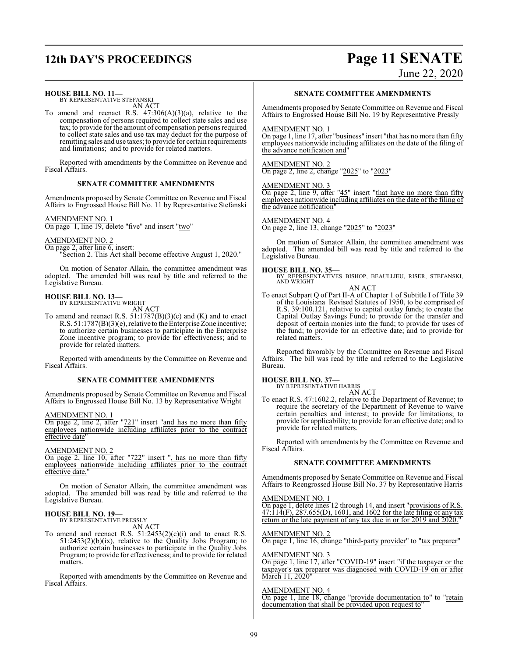## **12th DAY'S PROCEEDINGS Page 11 SENATE**

June 22, 2020

#### **HOUSE BILL NO. 11—**

BY REPRESENTATIVE STEFANSKI AN ACT

To amend and reenact R.S.  $47:306(A)(3)(a)$ , relative to the compensation of persons required to collect state sales and use tax; to provide for the amount of compensation persons required to collect state sales and use tax may deduct for the purpose of remitting sales and use taxes; to provide for certain requirements and limitations; and to provide for related matters.

Reported with amendments by the Committee on Revenue and Fiscal Affairs.

#### **SENATE COMMITTEE AMENDMENTS**

Amendments proposed by Senate Committee on Revenue and Fiscal Affairs to Engrossed House Bill No. 11 by Representative Stefanski

#### AMENDMENT NO. 1

On page 1, line 19, delete "five" and insert "two"

AMENDMENT NO. 2

On page 2, after line 6, insert:

"Section 2. This Act shall become effective August 1, 2020."

On motion of Senator Allain, the committee amendment was adopted. The amended bill was read by title and referred to the Legislative Bureau.

#### **HOUSE BILL NO. 13—**

BY REPRESENTATIVE WRIGHT AN ACT

To amend and reenact R.S. 51:1787(B)(3)(c) and (K) and to enact R.S. 51:1787(B)(3)(e), relative to the Enterprise Zone incentive; to authorize certain businesses to participate in the Enterprise Zone incentive program; to provide for effectiveness; and to provide for related matters.

Reported with amendments by the Committee on Revenue and Fiscal Affairs.

#### **SENATE COMMITTEE AMENDMENTS**

Amendments proposed by Senate Committee on Revenue and Fiscal Affairs to Engrossed House Bill No. 13 by Representative Wright

AMENDMENT NO. 1

On page 2, line 2, after "721" insert "and has no more than fifty employees nationwide including affiliates prior to the contract effective date'

AMENDMENT NO. 2

On page 2, line 10, after "722" insert ", has no more than fifty employees nationwide including affiliates prior to the contract effective date.

On motion of Senator Allain, the committee amendment was adopted. The amended bill was read by title and referred to the Legislative Bureau.

#### **HOUSE BILL NO. 19—**

BY REPRESENTATIVE PRESSLY AN ACT

To amend and reenact R.S.  $51:2453(2)(c)(i)$  and to enact R.S.  $51:2453(2)(b)(ix)$ , relative to the Quality Jobs Program; to authorize certain businesses to participate in the Quality Jobs Program; to provide for effectiveness; and to provide for related matters.

Reported with amendments by the Committee on Revenue and Fiscal Affairs.

#### **SENATE COMMITTEE AMENDMENTS**

Amendments proposed by Senate Committee on Revenue and Fiscal Affairs to Engrossed House Bill No. 19 by Representative Pressly

#### AMENDMENT NO. 1

On page 1, line 17, after "business" insert "that has no more than fifty employees nationwide including affiliates on the date of the filing of the advance notification and"

### AMENDMENT NO. 2

On page 2, line 2, change "2025" to "2023"

#### AMENDMENT NO. 3

On page 2, line 9, after "45" insert "that have no more than fifty employees nationwide including affiliates on the date of the filing of the advance notification"

#### AMENDMENT NO. 4

On page 2, line 13, change "2025" to "2023"

On motion of Senator Allain, the committee amendment was adopted. The amended bill was read by title and referred to the Legislative Bureau.

### **HOUSE BILL NO. 35—**

BY REPRESENTATIVES BISHOP, BEAULLIEU, RISER, STEFANSKI, AND WRIGHT AN ACT

To enact Subpart Q of Part II-A of Chapter 1 of Subtitle I of Title 39 of the Louisiana Revised Statutes of 1950, to be comprised of R.S. 39:100.121, relative to capital outlay funds; to create the Capital Outlay Savings Fund; to provide for the transfer and deposit of certain monies into the fund; to provide for uses of the fund; to provide for an effective date; and to provide for related matters.

Reported favorably by the Committee on Revenue and Fiscal Affairs. The bill was read by title and referred to the Legislative Bureau.

### **HOUSE BILL NO. 37—** BY REPRESENTATIVE HARRIS

AN ACT

To enact R.S. 47:1602.2, relative to the Department of Revenue; to require the secretary of the Department of Revenue to waive certain penalties and interest; to provide for limitations; to provide for applicability; to provide for an effective date; and to provide for related matters.

Reported with amendments by the Committee on Revenue and Fiscal Affairs.

#### **SENATE COMMITTEE AMENDMENTS**

Amendments proposed by Senate Committee on Revenue and Fiscal Affairs to Reengrossed House Bill No. 37 by Representative Harris

#### AMENDMENT NO. 1

On page 1, delete lines 12 through 14, and insert "provisions of R.S.  $47:114(F)$ ,  $287.655(D)$ ,  $1601$ , and  $1602$  for the late filing of any tax return or the late payment of any tax due in or for 2019 and 2020."

#### AMENDMENT NO. 2

On page 1, line 16, change "third-party provider" to "tax preparer"

#### AMENDMENT NO. 3

On page 1, line 17, after "COVID-19" insert "if the taxpayer or the taxpayer's tax preparer was diagnosed with COVID-19 on or after March 11, 2020"

#### AMENDMENT NO. 4

On page 1, line 18, change "provide documentation to" to "retain documentation that shall be provided upon request to"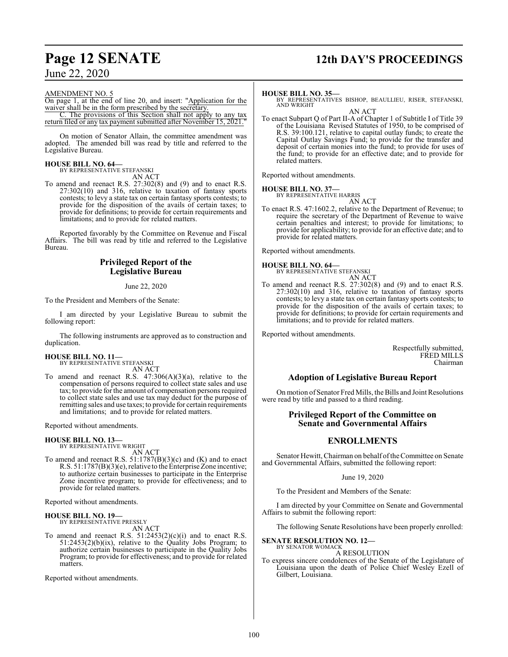## **Page 12 SENATE 12th DAY'S PROCEEDINGS**

June 22, 2020

#### AMENDMENT NO. 5

On page 1, at the end of line 20, and insert: "Application for the waiver shall be in the form prescribed by the secretary.

C. The provisions of this Section shall not apply to any tax return filed or any tax payment submitted after November 15, 2021.

On motion of Senator Allain, the committee amendment was adopted. The amended bill was read by title and referred to the Legislative Bureau.

### **HOUSE BILL NO. 64—**

BY REPRESENTATIVE STEFANSKI AN ACT

To amend and reenact R.S. 27:302(8) and (9) and to enact R.S. 27:302(10) and 316, relative to taxation of fantasy sports contests; to levy a state tax on certain fantasy sports contests; to provide for the disposition of the avails of certain taxes; to provide for definitions; to provide for certain requirements and limitations; and to provide for related matters.

Reported favorably by the Committee on Revenue and Fiscal Affairs. The bill was read by title and referred to the Legislative Bureau.

#### **Privileged Report of the Legislative Bureau**

June 22, 2020

To the President and Members of the Senate:

I am directed by your Legislative Bureau to submit the following report:

The following instruments are approved as to construction and duplication.

#### **HOUSE BILL NO. 11—**

BY REPRESENTATIVE STEFANSKI AN ACT

To amend and reenact R.S.  $47:306(A)(3)(a)$ , relative to the compensation of persons required to collect state sales and use tax; to provide forthe amount of compensation persons required to collect state sales and use tax may deduct for the purpose of remitting sales and use taxes; to provide for certain requirements and limitations; and to provide for related matters.

Reported without amendments.

#### **HOUSE BILL NO. 13—**

BY REPRESENTATIVE WRIGHT AN ACT

To amend and reenact R.S.  $51:1787(B)(3)(c)$  and  $(K)$  and to enact R.S. 51:1787(B)(3)(e), relative to the Enterprise Zone incentive; to authorize certain businesses to participate in the Enterprise Zone incentive program; to provide for effectiveness; and to provide for related matters.

Reported without amendments.

#### **HOUSE BILL NO. 19—**

BY REPRESENTATIVE PRESSLY AN ACT

To amend and reenact R.S.  $51:2453(2)(c)(i)$  and to enact R.S.  $51:2453(2)(b)(ix)$ , relative to the Quality Jobs Program; to authorize certain businesses to participate in the Quality Jobs Program; to provide for effectiveness; and to provide for related matters.

Reported without amendments.

#### **HOUSE BILL NO. 35—**

BY REPRESENTATIVES BISHOP, BEAULLIEU, RISER, STEFANSKI, AND WRIGHT

AN ACT To enact Subpart Q of Part II-A of Chapter 1 of Subtitle I of Title 39 of the Louisiana Revised Statutes of 1950, to be comprised of R.S. 39:100.121, relative to capital outlay funds; to create the Capital Outlay Savings Fund; to provide for the transfer and deposit of certain monies into the fund; to provide for uses of the fund; to provide for an effective date; and to provide for related matters.

Reported without amendments.

## **HOUSE BILL NO. 37—** BY REPRESENTATIVE HARRIS

AN ACT

To enact R.S. 47:1602.2, relative to the Department of Revenue; to require the secretary of the Department of Revenue to waive certain penalties and interest; to provide for limitations; to provide for applicability; to provide for an effective date; and to provide for related matters.

Reported without amendments.

#### **HOUSE BILL NO. 64—**

BY REPRESENTATIVE STEFANSKI AN ACT

To amend and reenact R.S. 27:302(8) and (9) and to enact R.S. 27:302(10) and 316, relative to taxation of fantasy sports contests; to levy a state tax on certain fantasy sports contests; to provide for the disposition of the avails of certain taxes; to provide for definitions; to provide for certain requirements and limitations; and to provide for related matters.

Reported without amendments.

Respectfully submitted, FRED MILLS Chairman

#### **Adoption of Legislative Bureau Report**

On motion of Senator Fred Mills, the Bills and Joint Resolutions were read by title and passed to a third reading.

#### **Privileged Report of the Committee on Senate and Governmental Affairs**

#### **ENROLLMENTS**

Senator Hewitt, Chairman on behalf of the Committee on Senate and Governmental Affairs, submitted the following report:

#### June 19, 2020

To the President and Members of the Senate:

I am directed by your Committee on Senate and Governmental Affairs to submit the following report:

The following Senate Resolutions have been properly enrolled:

#### **SENATE RESOLUTION NO. 12—** BY SENATOR WOMACK

A RESOLUTION

To express sincere condolences of the Senate of the Legislature of Louisiana upon the death of Police Chief Wesley Ezell of Gilbert, Louisiana.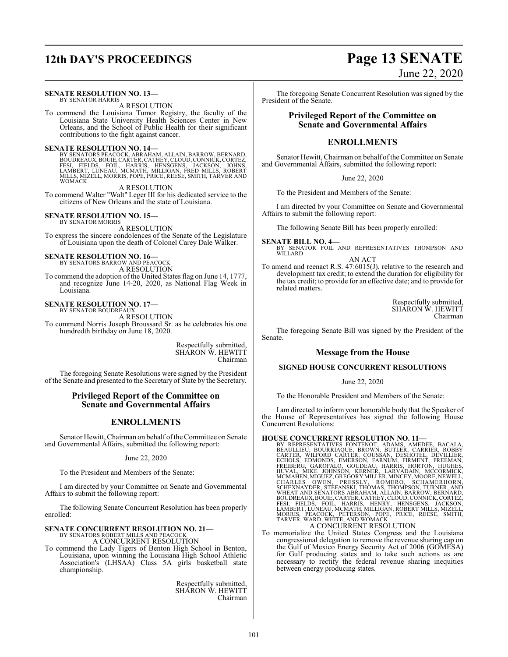#### **SENATE RESOLUTION NO. 13—** BY SENATOR HARRIS

A RESOLUTION

To commend the Louisiana Tumor Registry, the faculty of the Louisiana State University Health Sciences Center in New Orleans, and the School of Public Health for their significant contributions to the fight against cancer.

#### **SENATE RESOLUTION NO. 14—**

BY SENATORS PEACOCK, ABRAHAM, ALLAIN, BARROW, BERNARD,<br>BOUDREAUX, BOUIE, CARTER, CATHEY, CLOUD, CONNICK, CORTEZ,<br>FESI, FIELDS, FOIL, HARRIS, HENSGENS, JACKSON, JOHNS,<br>LAMBERT, LUNEAU, MCMATH, MILLIGAN, FRED MILLS, ROBERT<br>M WOMACK

A RESOLUTION To commend Walter "Walt" Leger III for his dedicated service to the citizens of New Orleans and the state of Louisiana.

#### **SENATE RESOLUTION NO. 15—**

BY SENATOR MORRIS A RESOLUTION To express the sincere condolences of the Senate of the Legislature of Louisiana upon the death of Colonel Carey Dale Walker.

## **SENATE RESOLUTION NO. 16—**<br>BY SENATORS BARROW AND PEACOCK

A RESOLUTION

To commend the adoption of the United States flag on June 14, 1777, and recognize June 14-20, 2020, as National Flag Week in Louisiana.

**SENATE RESOLUTION NO. 17—** BY SENATOR BOUDREAU.

A RESOLUTION

To commend Norris Joseph Broussard Sr. as he celebrates his one hundredth birthday on June 18, 2020.

> Respectfully submitted, SHARON W. HEWITT Chairman

The foregoing Senate Resolutions were signed by the President of the Senate and presented to the Secretary of State by the Secretary.

#### **Privileged Report of the Committee on Senate and Governmental Affairs**

### **ENROLLMENTS**

Senator Hewitt, Chairman on behalf of the Committee on Senate and Governmental Affairs, submitted the following report:

June 22, 2020

To the President and Members of the Senate:

I am directed by your Committee on Senate and Governmental Affairs to submit the following report:

The following Senate Concurrent Resolution has been properly enrolled:

# **SENATE CONCURRENT RESOLUTION NO. 21—**<br>BY SENATORS ROBERT MILLS AND PEACOCK<br>A CONCURRENT RESOLUTION

To commend the Lady Tigers of Benton High School in Benton, Louisiana, upon winning the Louisiana High School Athletic Association's (LHSAA) Class 5A girls basketball state championship.

> Respectfully submitted, SHARON W. HEWITT Chairman

## **12th DAY'S PROCEEDINGS Page 13 SENATE** June 22, 2020

The foregoing Senate Concurrent Resolution was signed by the President of the Senate.

### **Privileged Report of the Committee on Senate and Governmental Affairs**

### **ENROLLMENTS**

Senator Hewitt, Chairman on behalf of the Committee on Senate and Governmental Affairs, submitted the following report:

June 22, 2020

To the President and Members of the Senate:

I am directed by your Committee on Senate and Governmental Affairs to submit the following report:

The following Senate Bill has been properly enrolled:

**SENATE BILL NO. 4—**<br>BY SENATOR FOIL AND REPRESENTATIVES THOMPSON AND WILLARD AN ACT To amend and reenact R.S. 47:6015(J), relative to the research and

development tax credit; to extend the duration for eligibility for the tax credit; to provide for an effective date; and to provide for related matters.

> Respectfully submitted, SHARON W. HEWITT Chairman

The foregoing Senate Bill was signed by the President of the Senate.

#### **Message from the House**

#### **SIGNED HOUSE CONCURRENT RESOLUTIONS**

June 22, 2020

To the Honorable President and Members of the Senate:

I am directed to inform your honorable body that the Speaker of the House of Representatives has signed the following House Concurrent Resolutions:

HOUSE CONCURRENT RESOLUTION NO. 11—<br>BY REPRESENTATIVES FONTENOT, ADAMS, AMEDDEE, BACALA,<br>BEAULLIEU, BOURRIAQUE, BROWN, BUTLER, CARRER, ROBBY<br>CARTER, WILFORD CARTER, COUSSAN, DESHOTEL, DEVILLIER,<br>ECHOLS, EDMONDS, EMERSON, F A CONCURRENT RESOLUTION

To memorialize the United States Congress and the Louisiana congressional delegation to remove the revenue sharing cap on the Gulf of Mexico Energy Security Act of 2006 (GOMESA) for Gulf producing states and to take such actions as are necessary to rectify the federal revenue sharing inequities between energy producing states.